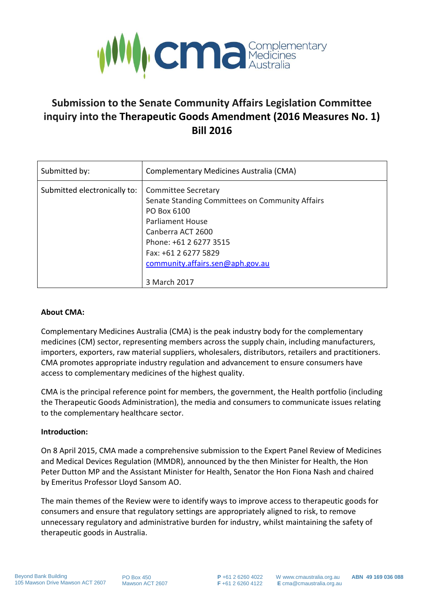

# **Submission to the Senate Community Affairs Legislation Committee inquiry into the Therapeutic Goods Amendment (2016 Measures No. 1) Bill 2016**

| Submitted by:                | Complementary Medicines Australia (CMA)                                                                                                                                                                                                     |
|------------------------------|---------------------------------------------------------------------------------------------------------------------------------------------------------------------------------------------------------------------------------------------|
| Submitted electronically to: | <b>Committee Secretary</b><br>Senate Standing Committees on Community Affairs<br>PO Box 6100<br>Parliament House<br>Canberra ACT 2600<br>Phone: +61 2 6277 3515<br>Fax: +61 2 6277 5829<br>community.affairs.sen@aph.gov.au<br>3 March 2017 |

#### **About CMA:**

Complementary Medicines Australia (CMA) is the peak industry body for the complementary medicines (CM) sector, representing members across the supply chain, including manufacturers, importers, exporters, raw material suppliers, wholesalers, distributors, retailers and practitioners. CMA promotes appropriate industry regulation and advancement to ensure consumers have access to complementary medicines of the highest quality.

CMA is the principal reference point for members, the government, the Health portfolio (including the Therapeutic Goods Administration), the media and consumers to communicate issues relating to the complementary healthcare sector.

#### **Introduction:**

On 8 April 2015, CMA made a comprehensive submission to the Expert Panel Review of Medicines and Medical Devices Regulation (MMDR), announced by the then Minister for Health, the Hon Peter Dutton MP and the Assistant Minister for Health, Senator the Hon Fiona Nash and chaired by Emeritus Professor Lloyd Sansom AO.

The main themes of the Review were to identify ways to improve access to therapeutic goods for consumers and ensure that regulatory settings are appropriately aligned to risk, to remove unnecessary regulatory and administrative burden for industry, whilst maintaining the safety of therapeutic goods in Australia.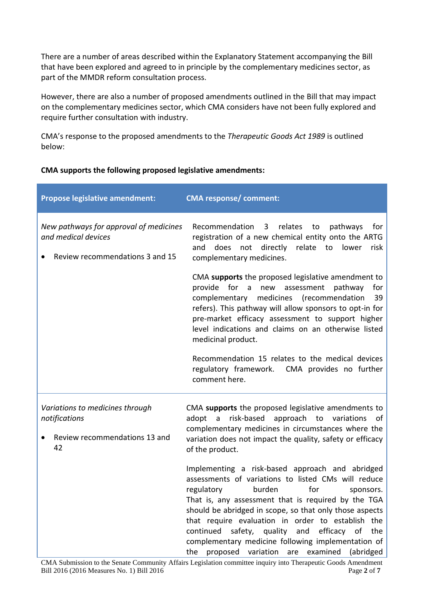There are a number of areas described within the Explanatory Statement accompanying the Bill that have been explored and agreed to in principle by the complementary medicines sector, as part of the MMDR reform consultation process.

However, there are also a number of proposed amendments outlined in the Bill that may impact on the complementary medicines sector, which CMA considers have not been fully explored and require further consultation with industry.

CMA's response to the proposed amendments to the *Therapeutic Goods Act 1989* is outlined below:

# **CMA supports the following proposed legislative amendments:**

| <b>Propose legislative amendment:</b>                                                                | <b>CMA response/ comment:</b>                                                                                                                                                                                                                                                                                                                                                                                                                                                                                |
|------------------------------------------------------------------------------------------------------|--------------------------------------------------------------------------------------------------------------------------------------------------------------------------------------------------------------------------------------------------------------------------------------------------------------------------------------------------------------------------------------------------------------------------------------------------------------------------------------------------------------|
| New pathways for approval of medicines<br>and medical devices<br>Review recommendations 3 and 15     | relates<br>Recommendation<br>$\mathbf{3}$<br>to<br>pathways<br>for<br>registration of a new chemical entity onto the ARTG<br>directly relate<br>and<br>does<br>not<br>to<br>lower<br>risk<br>complementary medicines.                                                                                                                                                                                                                                                                                        |
|                                                                                                      | CMA supports the proposed legislative amendment to<br>assessment<br>pathway<br>provide<br>for a<br>new<br>for<br>medicines<br>complementary<br>(recommendation<br>39<br>refers). This pathway will allow sponsors to opt-in for<br>pre-market efficacy assessment to support higher<br>level indications and claims on an otherwise listed<br>medicinal product.<br>Recommendation 15 relates to the medical devices<br>regulatory framework. CMA provides no further                                        |
|                                                                                                      | comment here.                                                                                                                                                                                                                                                                                                                                                                                                                                                                                                |
| Variations to medicines through<br>notifications<br>Review recommendations 13 and<br>$\bullet$<br>42 | CMA supports the proposed legislative amendments to<br>risk-based approach to variations<br>adopt<br>$\overline{a}$<br>οf<br>complementary medicines in circumstances where the<br>variation does not impact the quality, safety or efficacy<br>of the product.                                                                                                                                                                                                                                              |
|                                                                                                      | Implementing a risk-based approach and abridged<br>assessments of variations to listed CMs will reduce<br>burden<br>for<br>regulatory<br>sponsors.<br>That is, any assessment that is required by the TGA<br>should be abridged in scope, so that only those aspects<br>that require evaluation in order to establish the<br>safety, quality<br>efficacy<br>continued<br>and<br>of<br>the<br>complementary medicine following implementation of<br>proposed variation<br>examined<br>(abridged<br>the<br>are |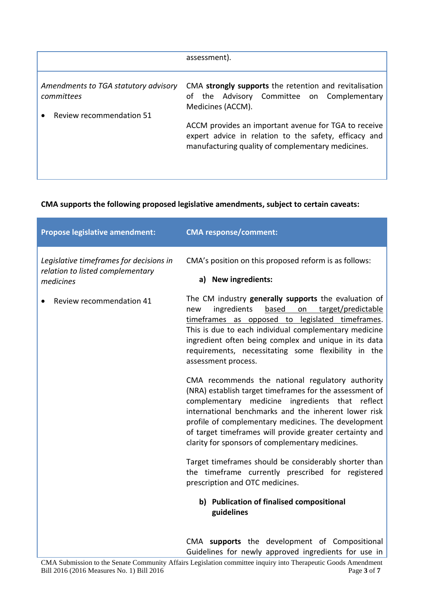|                                                                                       | assessment).                                                                                                                                                                                                                                                                                       |
|---------------------------------------------------------------------------------------|----------------------------------------------------------------------------------------------------------------------------------------------------------------------------------------------------------------------------------------------------------------------------------------------------|
| Amendments to TGA statutory advisory<br>committees<br><b>Review recommendation 51</b> | CMA strongly supports the retention and revitalisation<br>Advisory Committee on Complementary<br>of the<br>Medicines (ACCM).<br>ACCM provides an important avenue for TGA to receive<br>expert advice in relation to the safety, efficacy and<br>manufacturing quality of complementary medicines. |

# **CMA supports the following proposed legislative amendments, subject to certain caveats:**

| <b>Propose legislative amendment:</b>                                                    | <b>CMA response/comment:</b>                                                                                                                                                                                                                                                                                                                                                                    |
|------------------------------------------------------------------------------------------|-------------------------------------------------------------------------------------------------------------------------------------------------------------------------------------------------------------------------------------------------------------------------------------------------------------------------------------------------------------------------------------------------|
| Legislative timeframes for decisions in<br>relation to listed complementary<br>medicines | CMA's position on this proposed reform is as follows:<br>a) New ingredients:                                                                                                                                                                                                                                                                                                                    |
| Review recommendation 41                                                                 | The CM industry generally supports the evaluation of<br>ingredients<br>based<br>on<br>target/predictable<br>new<br>timeframes as opposed to legislated timeframes.<br>This is due to each individual complementary medicine<br>ingredient often being complex and unique in its data<br>requirements, necessitating some flexibility in the<br>assessment process.                              |
|                                                                                          | CMA recommends the national regulatory authority<br>(NRA) establish target timeframes for the assessment of<br>ingredients that reflect<br>complementary medicine<br>international benchmarks and the inherent lower risk<br>profile of complementary medicines. The development<br>of target timeframes will provide greater certainty and<br>clarity for sponsors of complementary medicines. |
|                                                                                          | Target timeframes should be considerably shorter than<br>the timeframe currently prescribed for registered<br>prescription and OTC medicines.                                                                                                                                                                                                                                                   |
|                                                                                          | b) Publication of finalised compositional<br>guidelines                                                                                                                                                                                                                                                                                                                                         |
|                                                                                          | CMA supports the development of Compositional<br>Guidelines for newly approved ingredients for use in                                                                                                                                                                                                                                                                                           |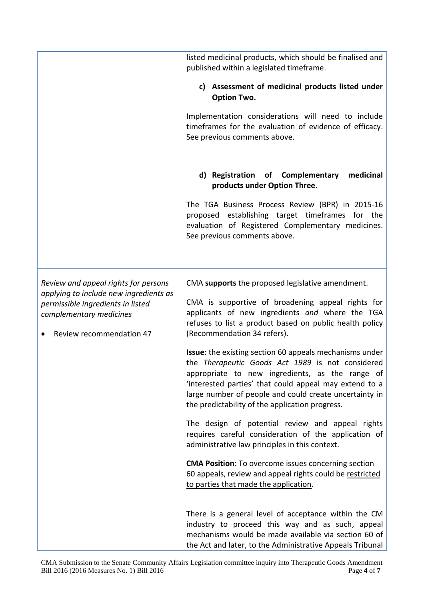listed medicinal products, which should be finalised and published within a legislated timeframe.

## **c) Assessment of medicinal products listed under Option Two.**

Implementation considerations will need to include timeframes for the evaluation of evidence of efficacy. See previous comments above.

## **d) Registration of Complementary medicinal products under Option Three.**

The TGA Business Process Review (BPR) in 2015-16 proposed establishing target timeframes for the evaluation of Registered Complementary medicines. See previous comments above.

*Review and appeal rights for persons applying to include new ingredients as permissible ingredients in listed complementary medicines*

• Review recommendation 47

CMA **supports** the proposed legislative amendment.

CMA is supportive of broadening appeal rights for applicants of new ingredients *and* where the TGA refuses to list a product based on public health policy (Recommendation 34 refers).

**Issue**: the existing section 60 appeals mechanisms under the *Therapeutic Goods Act 1989* is not considered appropriate to new ingredients, as the range of 'interested parties' that could appeal may extend to a large number of people and could create uncertainty in the predictability of the application progress.

The design of potential review and appeal rights requires careful consideration of the application of administrative law principles in this context.

**CMA Position**: To overcome issues concerning section 60 appeals, review and appeal rights could be restricted to parties that made the application.

There is a general level of acceptance within the CM industry to proceed this way and as such, appeal mechanisms would be made available via section 60 of the Act and later, to the Administrative Appeals Tribunal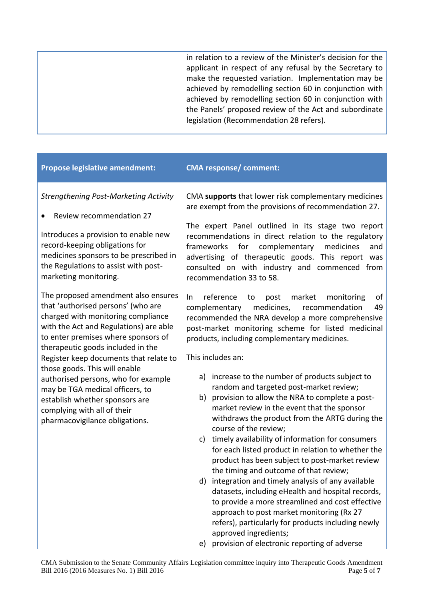in relation to a review of the Minister's decision for the applicant in respect of any refusal by the Secretary to make the requested variation. Implementation may be achieved by remodelling section 60 in conjunction with achieved by remodelling section 60 in conjunction with the Panels' proposed review of the Act and subordinate legislation (Recommendation 28 refers).

# **Propose legislative amendment: CMA response/ comment:**

*Strengthening Post-Marketing Activity*

Review recommendation 27

Introduces a provision to enable new record-keeping obligations for medicines sponsors to be prescribed in the Regulations to assist with postmarketing monitoring.

The proposed amendment also ensures that 'authorised persons' (who are charged with monitoring compliance with the Act and Regulations) are able to enter premises where sponsors of therapeutic goods included in the Register keep documents that relate to those goods. This will enable authorised persons, who for example may be TGA medical officers, to establish whether sponsors are complying with all of their pharmacovigilance obligations.

CMA **supports** that lower risk complementary medicines are exempt from the provisions of recommendation 27.

The expert Panel outlined in its stage two report recommendations in direct relation to the regulatory frameworks for complementary medicines and advertising of therapeutic goods. This report was consulted on with industry and commenced from recommendation 33 to 58.

In reference to post market monitoring of complementary medicines, recommendation 49 recommended the NRA develop a more comprehensive post-market monitoring scheme for listed medicinal products, including complementary medicines.

This includes an:

- a) increase to the number of products subject to random and targeted post-market review;
- b) provision to allow the NRA to complete a postmarket review in the event that the sponsor withdraws the product from the ARTG during the course of the review;
- c) timely availability of information for consumers for each listed product in relation to whether the product has been subject to post-market review the timing and outcome of that review;
- d) integration and timely analysis of any available datasets, including eHealth and hospital records, to provide a more streamlined and cost effective approach to post market monitoring (Rx 27 refers), particularly for products including newly approved ingredients;
- e) provision of electronic reporting of adverse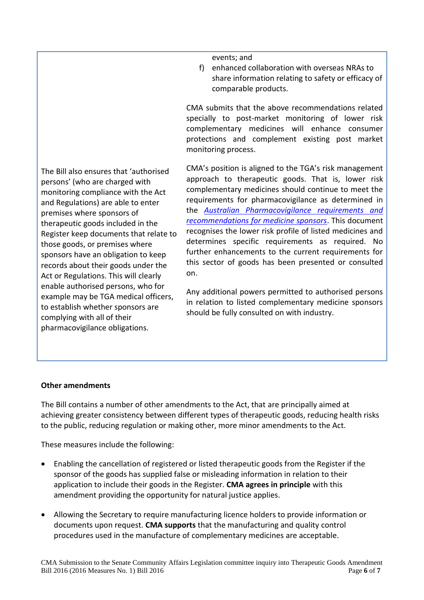events; and

f) enhanced collaboration with overseas NRAs to share information relating to safety or efficacy of comparable products.

CMA submits that the above recommendations related specially to post-market monitoring of lower risk complementary medicines will enhance consumer protections and complement existing post market monitoring process.

The Bill also ensures that 'authorised persons' (who are charged with monitoring compliance with the Act and Regulations) are able to enter premises where sponsors of therapeutic goods included in the Register keep documents that relate to those goods, or premises where sponsors have an obligation to keep records about their goods under the Act or Regulations. This will clearly enable authorised persons, who for example may be TGA medical officers, to establish whether sponsors are complying with all of their pharmacovigilance obligations. on.

CMA's position is aligned to the TGA's risk management approach to therapeutic goods. That is, lower risk complementary medicines should continue to meet the requirements for pharmacovigilance as determined in the *[Australian Pharmacovigilance requirements](https://www.tga.gov.au/australian-requirements-and-recommendations-pharmacovigilance-responsibilities-sponsors-medicines) and [recommendations for medicine sponsors](https://www.tga.gov.au/australian-requirements-and-recommendations-pharmacovigilance-responsibilities-sponsors-medicines)*. This document recognises the lower risk profile of listed medicines and determines specific requirements as required. No further enhancements to the current requirements for this sector of goods has been presented or consulted

Any additional powers permitted to authorised persons in relation to listed complementary medicine sponsors should be fully consulted on with industry.

## **Other amendments**

The Bill contains a number of other amendments to the Act, that are principally aimed at achieving greater consistency between different types of therapeutic goods, reducing health risks to the public, reducing regulation or making other, more minor amendments to the Act.

These measures include the following:

- Enabling the cancellation of registered or listed therapeutic goods from the Register if the sponsor of the goods has supplied false or misleading information in relation to their application to include their goods in the Register. **CMA agrees in principle** with this amendment providing the opportunity for natural justice applies.
- Allowing the Secretary to require manufacturing licence holders to provide information or documents upon request. **CMA supports** that the manufacturing and quality control procedures used in the manufacture of complementary medicines are acceptable.